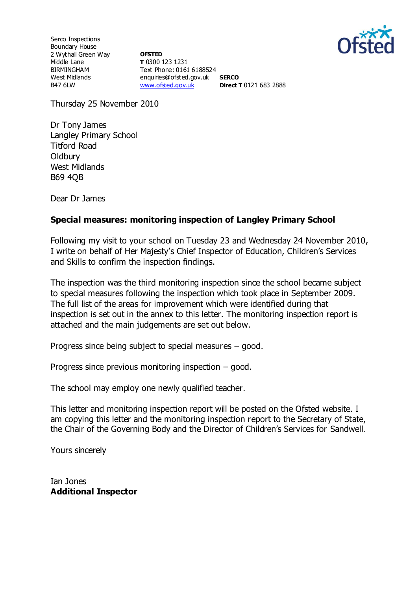

Serco Inspections Boundary House 2 Wythall Green Way Middle Lane BIRMINGHAM West Midlands B47 6LW

**OFSTED T** 0300 123 1231 Text Phone: 0161 6188524 enquiries@ofsted.gov.uk **SERCO** [www.ofsted.gov.uk](http://www.ofsted.gov.uk/) **Direct T** 0121 683 2888

Thursday 25 November 2010

Dr Tony James Langley Primary School Titford Road **Oldbury** West Midlands B69 4QB

Dear Dr James

# **Special measures: monitoring inspection of Langley Primary School**

Following my visit to your school on Tuesday 23 and Wednesday 24 November 2010, I write on behalf of Her Majesty's Chief Inspector of Education, Children's Services and Skills to confirm the inspection findings.

The inspection was the third monitoring inspection since the school became subject to special measures following the inspection which took place in September 2009. The full list of the areas for improvement which were identified during that inspection is set out in the annex to this letter. The monitoring inspection report is attached and the main judgements are set out below.

Progress since being subject to special measures – good.

Progress since previous monitoring inspection – good.

The school may employ one newly qualified teacher.

This letter and monitoring inspection report will be posted on the Ofsted website. I am copying this letter and the monitoring inspection report to the Secretary of State, the Chair of the Governing Body and the Director of Children's Services for Sandwell.

Yours sincerely

Ian Jones **Additional Inspector**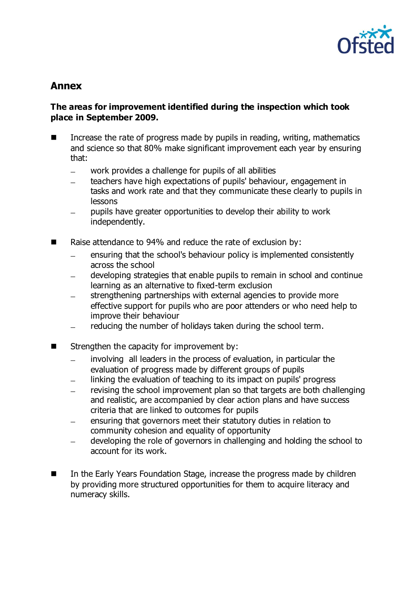

# **Annex**

## **The areas for improvement identified during the inspection which took place in September 2009.**

- Increase the rate of progress made by pupils in reading, writing, mathematics and science so that 80% make significant improvement each year by ensuring that:
	- work provides a challenge for pupils of all abilities  $\equiv$
	- teachers have high expectations of pupils' behaviour, engagement in tasks and work rate and that they communicate these clearly to pupils in lessons
	- pupils have greater opportunities to develop their ability to work independently.
- Raise attendance to 94% and reduce the rate of exclusion by:
	- ensuring that the school's behaviour policy is implemented consistently across the school
	- developing strategies that enable pupils to remain in school and continue  $\equiv$ learning as an alternative to fixed-term exclusion
	- strengthening partnerships with external agencies to provide more  $$ effective support for pupils who are poor attenders or who need help to improve their behaviour
	- reducing the number of holidays taken during the school term.
- $\blacksquare$  Strengthen the capacity for improvement by:
	- involving all leaders in the process of evaluation, in particular the  $\equiv$ evaluation of progress made by different groups of pupils
	- linking the evaluation of teaching to its impact on pupils' progress  $\equiv$
	- revising the school improvement plan so that targets are both challenging  $\equiv$ and realistic, are accompanied by clear action plans and have success criteria that are linked to outcomes for pupils
	- ensuring that governors meet their statutory duties in relation to community cohesion and equality of opportunity
	- developing the role of governors in challenging and holding the school to  $\equiv$ account for its work.
- In the Early Years Foundation Stage, increase the progress made by children by providing more structured opportunities for them to acquire literacy and numeracy skills.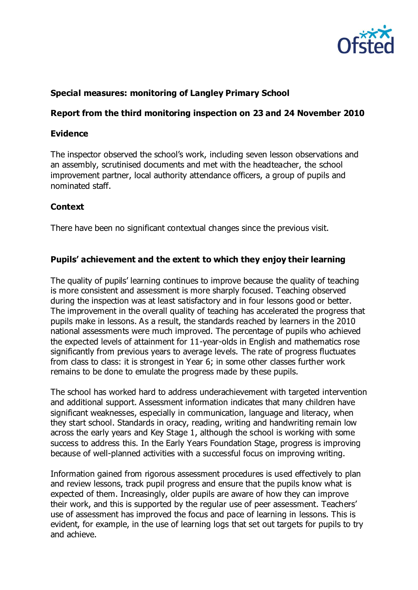

## **Special measures: monitoring of Langley Primary School**

#### **Report from the third monitoring inspection on 23 and 24 November 2010**

#### **Evidence**

The inspector observed the school's work, including seven lesson observations and an assembly, scrutinised documents and met with the headteacher, the school improvement partner, local authority attendance officers, a group of pupils and nominated staff.

#### **Context**

There have been no significant contextual changes since the previous visit.

#### **Pupils' achievement and the extent to which they enjoy their learning**

The quality of pupils' learning continues to improve because the quality of teaching is more consistent and assessment is more sharply focused. Teaching observed during the inspection was at least satisfactory and in four lessons good or better. The improvement in the overall quality of teaching has accelerated the progress that pupils make in lessons. As a result, the standards reached by learners in the 2010 national assessments were much improved. The percentage of pupils who achieved the expected levels of attainment for 11-year-olds in English and mathematics rose significantly from previous years to average levels. The rate of progress fluctuates from class to class: it is strongest in Year 6; in some other classes further work remains to be done to emulate the progress made by these pupils.

The school has worked hard to address underachievement with targeted intervention and additional support. Assessment information indicates that many children have significant weaknesses, especially in communication, language and literacy, when they start school. Standards in oracy, reading, writing and handwriting remain low across the early years and Key Stage 1, although the school is working with some success to address this. In the Early Years Foundation Stage, progress is improving because of well-planned activities with a successful focus on improving writing.

Information gained from rigorous assessment procedures is used effectively to plan and review lessons, track pupil progress and ensure that the pupils know what is expected of them. Increasingly, older pupils are aware of how they can improve their work, and this is supported by the regular use of peer assessment. Teachers' use of assessment has improved the focus and pace of learning in lessons. This is evident, for example, in the use of learning logs that set out targets for pupils to try and achieve.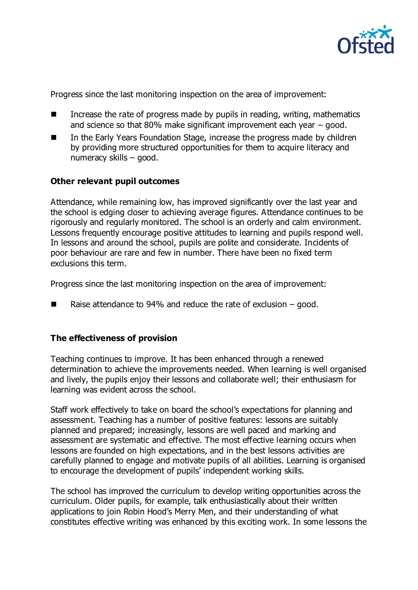

Progress since the last monitoring inspection on the area of improvement:

- Increase the rate of progress made by pupils in reading, writing, mathematics and science so that 80% make significant improvement each year – good.
- In the Early Years Foundation Stage, increase the progress made by children by providing more structured opportunities for them to acquire literacy and numeracy skills – good.

#### **Other relevant pupil outcomes**

Attendance, while remaining low, has improved significantly over the last year and the school is edging closer to achieving average figures. Attendance continues to be rigorously and regularly monitored. The school is an orderly and calm environment. Lessons frequently encourage positive attitudes to learning and pupils respond well. In lessons and around the school, pupils are polite and considerate. Incidents of poor behaviour are rare and few in number. There have been no fixed term exclusions this term.

Progress since the last monitoring inspection on the area of improvement:

■ Raise attendance to 94% and reduce the rate of exclusion  $-$  good.

#### **The effectiveness of provision**

Teaching continues to improve. It has been enhanced through a renewed determination to achieve the improvements needed. When learning is well organised and lively, the pupils enjoy their lessons and collaborate well; their enthusiasm for learning was evident across the school.

Staff work effectively to take on board the school's expectations for planning and assessment. Teaching has a number of positive features: lessons are suitably planned and prepared; increasingly, lessons are well paced and marking and assessment are systematic and effective. The most effective learning occurs when lessons are founded on high expectations, and in the best lessons activities are carefully planned to engage and motivate pupils of all abilities. Learning is organised to encourage the development of pupils' independent working skills.

The school has improved the curriculum to develop writing opportunities across the curriculum. Older pupils, for example, talk enthusiastically about their written applications to join Robin Hood's Merry Men, and their understanding of what constitutes effective writing was enhanced by this exciting work. In some lessons the